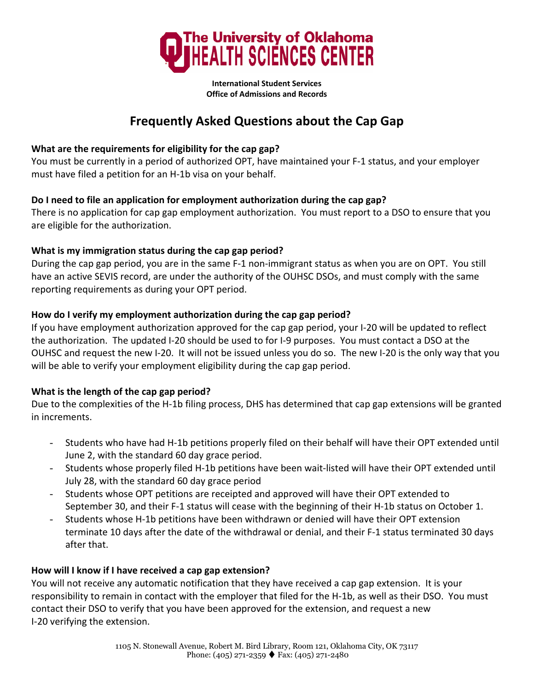

**International Student Services Office of Admissions and Records**

# **Frequently Asked Questions about the Cap Gap**

## **What are the requirements for eligibility for the cap gap?**

You must be currently in a period of authorized OPT, have maintained your F‐1 status, and your employer must have filed a petition for an H‐1b visa on your behalf.

# **Do I need to file an application for employment authorization during the cap gap?**

There is no application for cap gap employment authorization. You must report to a DSO to ensure that you are eligible for the authorization.

# **What is my immigration status during the cap gap period?**

During the cap gap period, you are in the same F-1 non-immigrant status as when you are on OPT. You still have an active SEVIS record, are under the authority of the OUHSC DSOs, and must comply with the same reporting requirements as during your OPT period.

# **How do I verify my employment authorization during the cap gap period?**

If you have employment authorization approved for the cap gap period, your I‐20 will be updated to reflect the authorization. The updated I‐20 should be used to for I‐9 purposes. You must contact a DSO at the OUHSC and request the new I‐20. It will not be issued unless you do so. The new I‐20 is the only way that you will be able to verify your employment eligibility during the cap gap period.

### **What is the length of the cap gap period?**

Due to the complexities of the H‐1b filing process, DHS has determined that cap gap extensions will be granted in increments.

- Students who have had H‐1b petitions properly filed on their behalf will have their OPT extended until June 2, with the standard 60 day grace period.
- Students whose properly filed H‐1b petitions have been wait‐listed will have their OPT extended until July 28, with the standard 60 day grace period
- Students whose OPT petitions are receipted and approved will have their OPT extended to September 30, and their F‐1 status will cease with the beginning of their H‐1b status on October 1.
- Students whose H‐1b petitions have been withdrawn or denied will have their OPT extension terminate 10 days after the date of the withdrawal or denial, and their F‐1 status terminated 30 days after that.

### **How will I know if I have received a cap gap extension?**

You will not receive any automatic notification that they have received a cap gap extension. It is your responsibility to remain in contact with the employer that filed for the H‐1b, as well as their DSO. You must contact their DSO to verify that you have been approved for the extension, and request a new I‐20 verifying the extension.